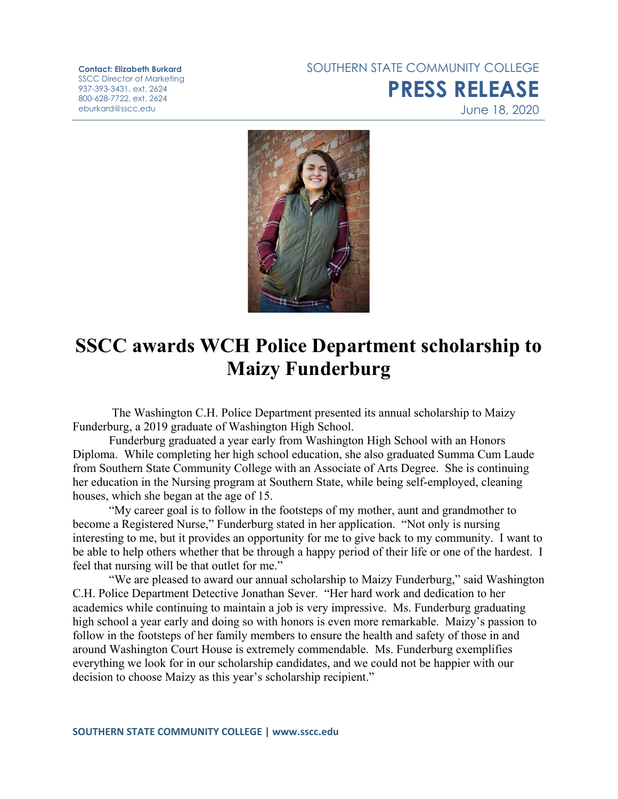**Contact: Elizabeth Burkard** SSCC Director of Marketing 937-393-3431, ext. 2624 800-628-7722, ext. 2624 eburkard@sscc.edu

SOUTHERN STATE COMMUNITY COLLEGE **PRESS RELEASE** June 18, 2020



## **SSCC awards WCH Police Department scholarship to Maizy Funderburg**

The Washington C.H. Police Department presented its annual scholarship to Maizy Funderburg, a 2019 graduate of Washington High School.

Funderburg graduated a year early from Washington High School with an Honors Diploma. While completing her high school education, she also graduated Summa Cum Laude from Southern State Community College with an Associate of Arts Degree. She is continuing her education in the Nursing program at Southern State, while being self-employed, cleaning houses, which she began at the age of 15.

"My career goal is to follow in the footsteps of my mother, aunt and grandmother to become a Registered Nurse," Funderburg stated in her application. "Not only is nursing interesting to me, but it provides an opportunity for me to give back to my community. I want to be able to help others whether that be through a happy period of their life or one of the hardest. I feel that nursing will be that outlet for me."

"We are pleased to award our annual scholarship to Maizy Funderburg," said Washington C.H. Police Department Detective Jonathan Sever. "Her hard work and dedication to her academics while continuing to maintain a job is very impressive. Ms. Funderburg graduating high school a year early and doing so with honors is even more remarkable. Maizy's passion to follow in the footsteps of her family members to ensure the health and safety of those in and around Washington Court House is extremely commendable. Ms. Funderburg exemplifies everything we look for in our scholarship candidates, and we could not be happier with our decision to choose Maizy as this year's scholarship recipient."